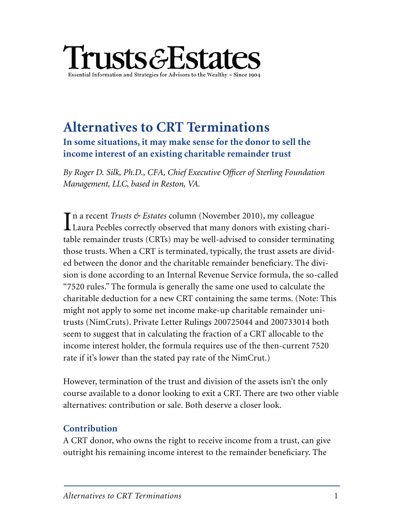

# **Alternatives to CRT Terminations In some situations, it may make sense for the donor to sell the income interest of an existing charitable remainder trust**

*By Roger D. Silk, Ph.D., CFA, Chief Executive Officer of Sterling Foundation Management, LLC, based in Reston, VA.*

 $\prod$ n a recent *Trusts & Estates* column (November 2010), my colleague<br>Laura Peebles correctly observed that many donors with existing charin a recent *Trusts & Estates* column (November 2010), my colleague table remainder trusts (CRTs) may be well-advised to consider terminating those trusts. When a CRT is terminated, typically, the trust assets are divided between the donor and the charitable remainder beneficiary. The division is done according to an Internal Revenue Service formula, the so-called "7520 rules." The formula is generally the same one used to calculate the charitable deduction for a new CRT containing the same terms. (Note: This might not apply to some net income make-up charitable remainder unitrusts (NimCruts). Private Letter Rulings 200725044 and 200733014 both seem to suggest that in calculating the fraction of a CRT allocable to the income interest holder, the formula requires use of the then-current 7520 rate if it's lower than the stated pay rate of the NimCrut.)

However, termination of the trust and division of the assets isn't the only course available to a donor looking to exit a CRT. There are two other viable alternatives: contribution or sale. Both deserve a closer look.

## **Contribution**

A CRT donor, who owns the right to receive income from a trust, can give outright his remaining income interest to the remainder beneficiary. The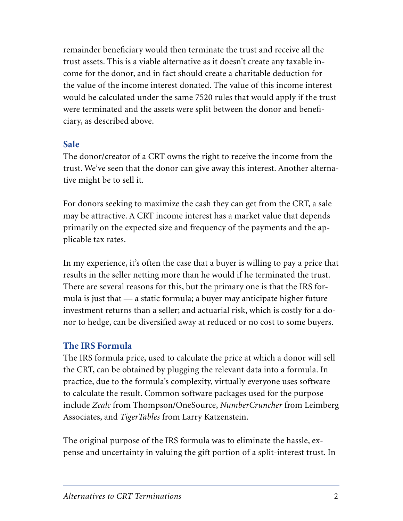remainder beneficiary would then terminate the trust and receive all the trust assets. This is a viable alternative as it doesn't create any taxable income for the donor, and in fact should create a charitable deduction for the value of the income interest donated. The value of this income interest would be calculated under the same 7520 rules that would apply if the trust were terminated and the assets were split between the donor and beneficiary, as described above.

## **Sale**

The donor/creator of a CRT owns the right to receive the income from the trust. We've seen that the donor can give away this interest. Another alternative might be to sell it.

For donors seeking to maximize the cash they can get from the CRT, a sale may be attractive. A CRT income interest has a market value that depends primarily on the expected size and frequency of the payments and the applicable tax rates.

In my experience, it's often the case that a buyer is willing to pay a price that results in the seller netting more than he would if he terminated the trust. There are several reasons for this, but the primary one is that the IRS formula is just that — a static formula; a buyer may anticipate higher future investment returns than a seller; and actuarial risk, which is costly for a donor to hedge, can be diversified away at reduced or no cost to some buyers.

#### **The IRS Formula**

The IRS formula price, used to calculate the price at which a donor will sell the CRT, can be obtained by plugging the relevant data into a formula. In practice, due to the formula's complexity, virtually everyone uses software to calculate the result. Common software packages used for the purpose include *Zcalc* from Thompson/OneSource, *NumberCruncher* from Leimberg Associates, and *TigerTables* from Larry Katzenstein.

The original purpose of the IRS formula was to eliminate the hassle, expense and uncertainty in valuing the gift portion of a split-interest trust. In